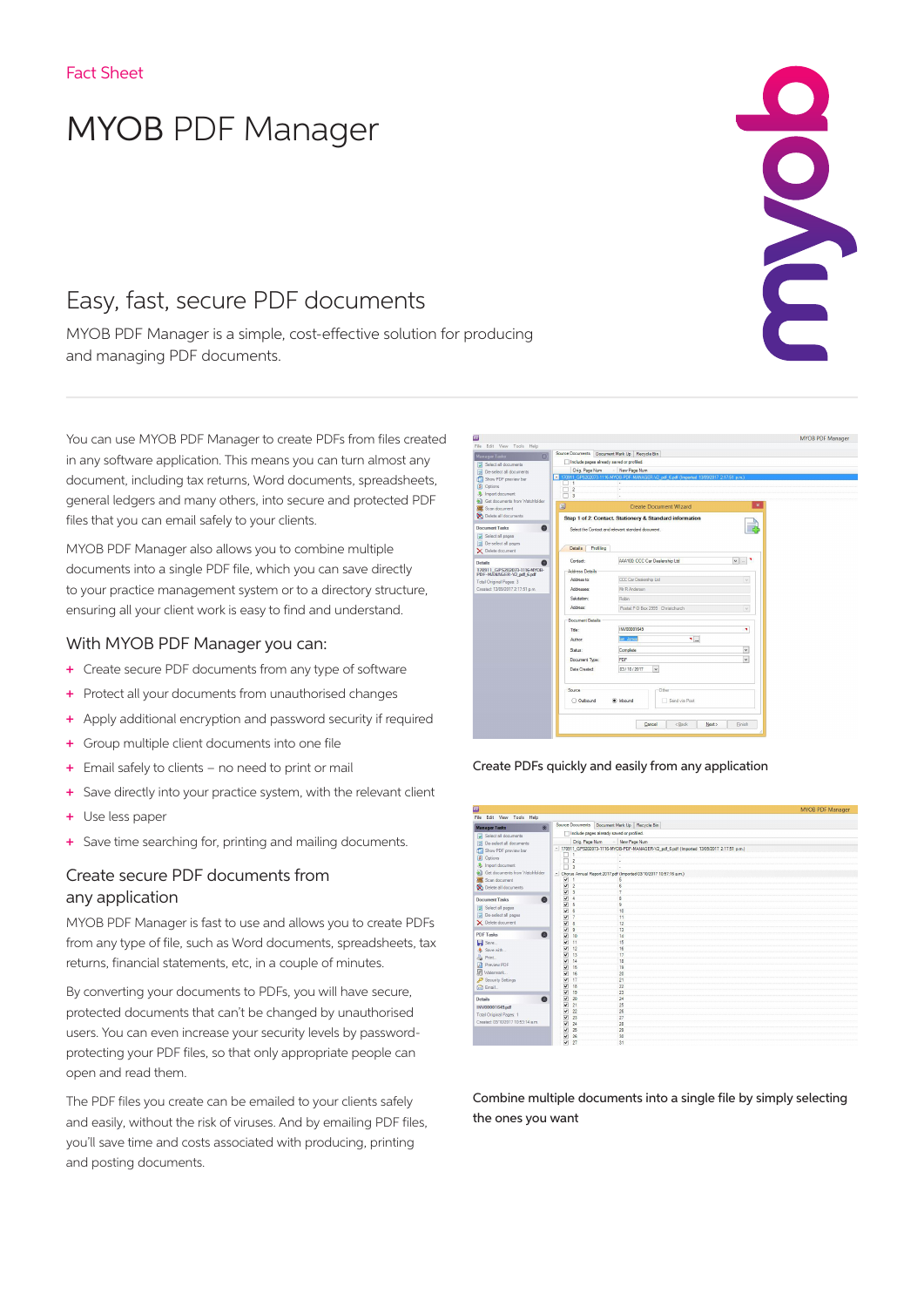# MYOB PDF Manager

# Easy, fast, secure PDF documents

MYOB PDF Manager is a simple, cost-effective solution for producing and managing PDF documents.

You can use MYOB PDF Manager to create PDFs from files created in any software application. This means you can turn almost any document, including tax returns, Word documents, spreadsheets, general ledgers and many others, into secure and protected PDF files that you can email safely to your clients.

MYOB PDF Manager also allows you to combine multiple documents into a single PDF file, which you can save directly to your practice management system or to a directory structure, ensuring all your client work is easy to find and understand.

### With MYOB PDF Manager you can:

- + Create secure PDF documents from any type of software
- + Protect all your documents from unauthorised changes
- + Apply additional encryption and password security if required
- + Group multiple client documents into one file
- + Email safely to clients no need to print or mail
- + Save directly into your practice system, with the relevant client
- + Use less paper
- + Save time searching for, printing and mailing documents.

## Create secure PDF documents from any application

MYOB PDF Manager is fast to use and allows you to create PDFs from any type of file, such as Word documents, spreadsheets, tax returns, financial statements, etc, in a couple of minutes.

By converting your documents to PDFs, you will have secure, protected documents that can't be changed by unauthorised users. You can even increase your security levels by passwordprotecting your PDF files, so that only appropriate people can open and read them.

The PDF files you create can be emailed to your clients safely and easily, without the risk of viruses. And by emailing PDF files, you'll save time and costs associated with producing, printing and posting documents.



Create PDFs quickly and easily from any application

| -                                        |                                           |                                                                                           | <b>INTODITUT MORGANI</b> |  |  |  |  |  |
|------------------------------------------|-------------------------------------------|-------------------------------------------------------------------------------------------|--------------------------|--|--|--|--|--|
| File Edit View Tools Help                |                                           |                                                                                           |                          |  |  |  |  |  |
| <b>Manager Tasks</b><br>$\triangleright$ | Source Documents                          | Document Mark Up   Recycle Bin                                                            |                          |  |  |  |  |  |
|                                          | Include pages already saved or profiled.  |                                                                                           |                          |  |  |  |  |  |
| Select all documents                     |                                           |                                                                                           |                          |  |  |  |  |  |
| De-select all documents                  | Orig. Page Num<br>- New Page Num          |                                                                                           |                          |  |  |  |  |  |
| Show PDF preview bar                     |                                           | - 170911_GPS202073-1116-MYOB-PDF-MANAGER-V2_pdf. 6.pdf (Imported 13/09/2017 2:17:51 p.m.) |                          |  |  |  |  |  |
| Cptions                                  | n                                         |                                                                                           |                          |  |  |  |  |  |
| <b>&amp;</b> Import document             | $\overline{2}$<br>$\overline{a}$          | $\sim$                                                                                    |                          |  |  |  |  |  |
| Get documents from Watchfolder           |                                           | - Chorus Annual Report 2017.pdf (Imported 03/10/2017 10:57:16 a.m.)                       |                          |  |  |  |  |  |
| Scan document                            | $\overline{\mathbf{v}}$                   |                                                                                           |                          |  |  |  |  |  |
| Delete all documents                     | $\overline{\mathbf{v}}$<br>$\overline{2}$ | 6                                                                                         |                          |  |  |  |  |  |
|                                          | V<br>3                                    | $\overline{7}$                                                                            |                          |  |  |  |  |  |
| <b>Document Tasks</b><br>Q               | V<br>ä                                    | 8                                                                                         |                          |  |  |  |  |  |
|                                          | $\overline{\mathbf{v}}$<br>5              | 9                                                                                         |                          |  |  |  |  |  |
| Select all pages                         | $\overline{\mathbf{v}}$<br><sub>6</sub>   | 10                                                                                        |                          |  |  |  |  |  |
| De-select all pages                      | V<br>7                                    | 11                                                                                        |                          |  |  |  |  |  |
| X Delete document                        | ☑<br>8                                    | 12                                                                                        |                          |  |  |  |  |  |
|                                          | $\overline{\mathbf{v}}$<br>9              | 13                                                                                        |                          |  |  |  |  |  |
| <b>PDF Tasks</b>                         | $\overline{\mathbf{v}}$<br>10             | 14                                                                                        |                          |  |  |  |  |  |
| Seve                                     | V<br>11                                   | 15                                                                                        |                          |  |  |  |  |  |
| Save with                                | ⊽<br>12                                   | 16                                                                                        |                          |  |  |  |  |  |
| Print                                    | ν<br>13                                   | 17                                                                                        |                          |  |  |  |  |  |
| Preview PDF                              | ⊽<br>14                                   | 18                                                                                        |                          |  |  |  |  |  |
| Watermark                                | ⊽<br>15                                   | 19                                                                                        |                          |  |  |  |  |  |
|                                          | ⊽<br>16                                   | 20                                                                                        |                          |  |  |  |  |  |
| Security Settings                        | ⊽<br>17                                   | 21                                                                                        |                          |  |  |  |  |  |
| <b>Co</b> Email                          | $\overline{\mathbf{v}}$<br>18<br>19       | 22                                                                                        |                          |  |  |  |  |  |
|                                          | $\overline{\mathbf{v}}$                   | 23                                                                                        |                          |  |  |  |  |  |
| Details<br>ø                             | $\overline{\mathbf{v}}$<br>20<br>ν<br>21  | 24                                                                                        |                          |  |  |  |  |  |
| INV00001649.pdf                          | ⊽<br>$\overline{22}$                      | 25<br>26                                                                                  |                          |  |  |  |  |  |
| Total Original Pages: 1                  | $\overline{\mathbf{v}}$<br>23             | 27                                                                                        |                          |  |  |  |  |  |
| Created: 03/10/2017 10:53:14 a.m.        | $\overline{\mathbf{v}}$<br>24             | 28                                                                                        |                          |  |  |  |  |  |
|                                          | M<br>25                                   | 29                                                                                        |                          |  |  |  |  |  |
|                                          | V<br>26                                   | 30                                                                                        |                          |  |  |  |  |  |
|                                          | $\overline{\mathbf{v}}$<br>27             | 31                                                                                        |                          |  |  |  |  |  |
|                                          |                                           |                                                                                           |                          |  |  |  |  |  |

Combine multiple documents into a single file by simply selecting the ones you want

# END